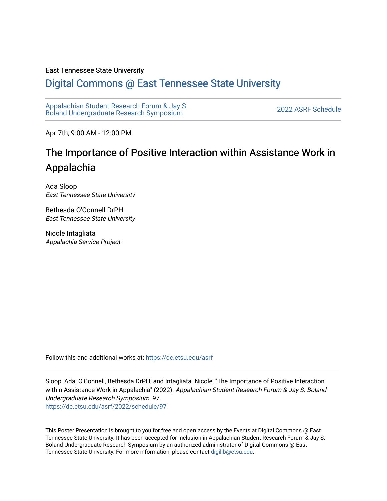#### East Tennessee State University

#### [Digital Commons @ East Tennessee State University](https://dc.etsu.edu/)

[Appalachian Student Research Forum & Jay S.](https://dc.etsu.edu/asrf)  Appalactifalt Student Research Forum & Jay S.<br>Boland Undergraduate Research Symposium

Apr 7th, 9:00 AM - 12:00 PM

#### The Importance of Positive Interaction within Assistance Work in Appalachia

Ada Sloop East Tennessee State University

Bethesda O'Connell DrPH East Tennessee State University

Nicole Intagliata Appalachia Service Project

Follow this and additional works at: [https://dc.etsu.edu/asrf](https://dc.etsu.edu/asrf?utm_source=dc.etsu.edu%2Fasrf%2F2022%2Fschedule%2F97&utm_medium=PDF&utm_campaign=PDFCoverPages) 

Sloop, Ada; O'Connell, Bethesda DrPH; and Intagliata, Nicole, "The Importance of Positive Interaction within Assistance Work in Appalachia" (2022). Appalachian Student Research Forum & Jay S. Boland Undergraduate Research Symposium. 97. [https://dc.etsu.edu/asrf/2022/schedule/97](https://dc.etsu.edu/asrf/2022/schedule/97?utm_source=dc.etsu.edu%2Fasrf%2F2022%2Fschedule%2F97&utm_medium=PDF&utm_campaign=PDFCoverPages) 

This Poster Presentation is brought to you for free and open access by the Events at Digital Commons @ East Tennessee State University. It has been accepted for inclusion in Appalachian Student Research Forum & Jay S. Boland Undergraduate Research Symposium by an authorized administrator of Digital Commons @ East Tennessee State University. For more information, please contact [digilib@etsu.edu](mailto:digilib@etsu.edu).